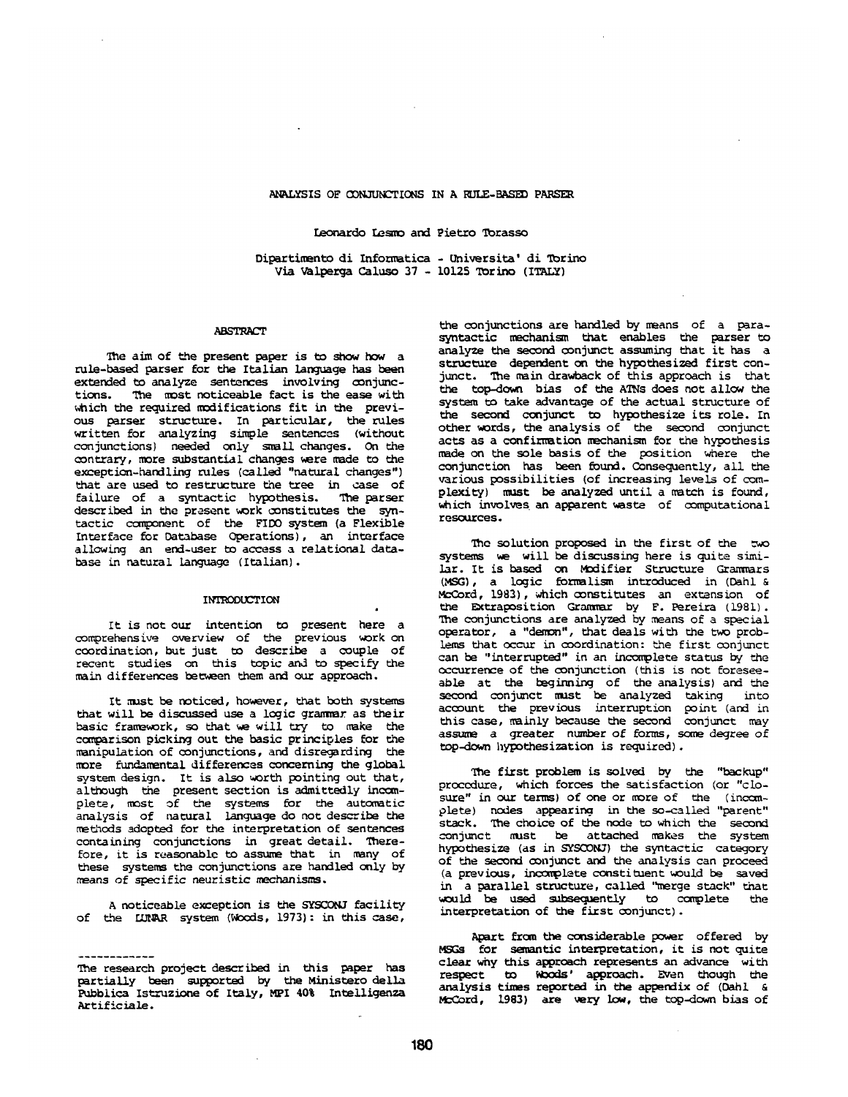# ANALYSIS OF CONJUNCTIONS IN A RULE-BASED PARSER

Leonardo Lesmo and Pietro Torasso

Dipartimento di Informatica - Universita' di Torino Via Valperga Caluso 37 - 10125 Torino (ITALY)

### **ABSTRACT**

The aim of the present paper is to show how a rule-based parser for the Italian language has been extended to analyze sentences involving conjunctions. The most noticeable fact is the ease with which the required modifications fit in the previous parser structure. In particular, the rules written for analyzing simple sentences (without conjunctions) needed only small changes. On the contrary, more substantial changes were made to the exception-handling rules (called "natural changes") that are used to restructure the tree in case of failure of a syntactic hypothesis. The parser described in the present work constitutes the syntactic component of the FIDO system (a Flexible Interface for Database Operations), an interface allowing an end-user to access a relational database in natural language (Italian).

#### INTRODUCTION

It is not our intention to present here a comprehensive overview of the previous work on coordination, but just to describe a couple of recent studies on this topic and to specify the main differences between them and our approach.

It must be noticed, however, that both systems that will be discussed use a logic grammar as their basic framework, so that we will try to make the comparison picking out the basic principles for the manipulation of conjunctions, and disregarding the more fundamental differences concerning the global system design. It is also worth pointing out that, although the present section is admittedly incomplete, most of the systems for the automatic analysis of natural language do not describe the methods adopted for the interpretation of sentences containing conjunctions in great detail. Therefore, it is reasonable to assume that in many of these systems the conjunctions are handled only by means of specific heuristic mechanisms.

A noticeable exception is the SYSCONJ facility of the LURAR system (Woods, 1973): in this case,

the conjunctions are handled by means of a parasyntactic mechanism that enables the parser to analyze the second conjunct assuming that it has a structure dependent on the hypothesized first conjunct. The main drawback of this approach is that the top-down bias of the ATNs does not allow the system to take advantage of the actual structure of the second conjunct to hypothesize its role. In other words, the analysis of the second conjunct acts as a confirmation mechanism for the hypothesis made on the sole basis of the position where the conjunction has been found. Consequently, all the various possibilities (of increasing levels of complexity) must be analyzed until a match is found, which involves an apparent waste of computational resources.

The solution proposed in the first of the two systems we will be discussing here is quite similar. It is based on Modifier Structure Grammars (MSG), a logic formalism introduced in (Dahl & McCord, 1983), which constitutes an extension of the Extraposition Grammar by F. Pereira (1981). The conjunctions are analyzed by means of a special operator, a "demon", that deals with the two problems that occur in coordination: the first conjunct can be "interrupted" in an incomplete status by the occurrence of the conjunction (this is not foreseeable at the beginning of the analysis) and the second conjunct must be analyzed taking into account the previous interruption point (and in this case, mainly because the second conjunct may assume a greater number of forms, some degree of top-down hypothesization is required).

The first problem is solved by the "backup" procedure, which forces the satisfaction (or "closure" in our terms) of one or more of the (incomplete) nodes appearing, in the so-called "parent" stack. The choice of the node to which the second conjunct must be attached makes the system hypothesize (as in SYSCONJ) the syntactic category of the second conjunct and the analysis can proceed (a previous, incomplete constituent would be saved in a parallel structure, called "merge stack" that would be used subsequently to complete the interpretation of the first conjunct).

Apart from the considerable power offered by MSGs for semantic interpretation, it is not quite clear why this approach represents an advance with respect to Woods' approach. Even though the analysis times reported in the appendix of (Dahl & McCord, 1983) are wery low, the top-down bias of

The research project described in this paper has partially been supported by the Ministero della Babblica Istruzione of Italy, MPI 40% Intelligenza Artificiale.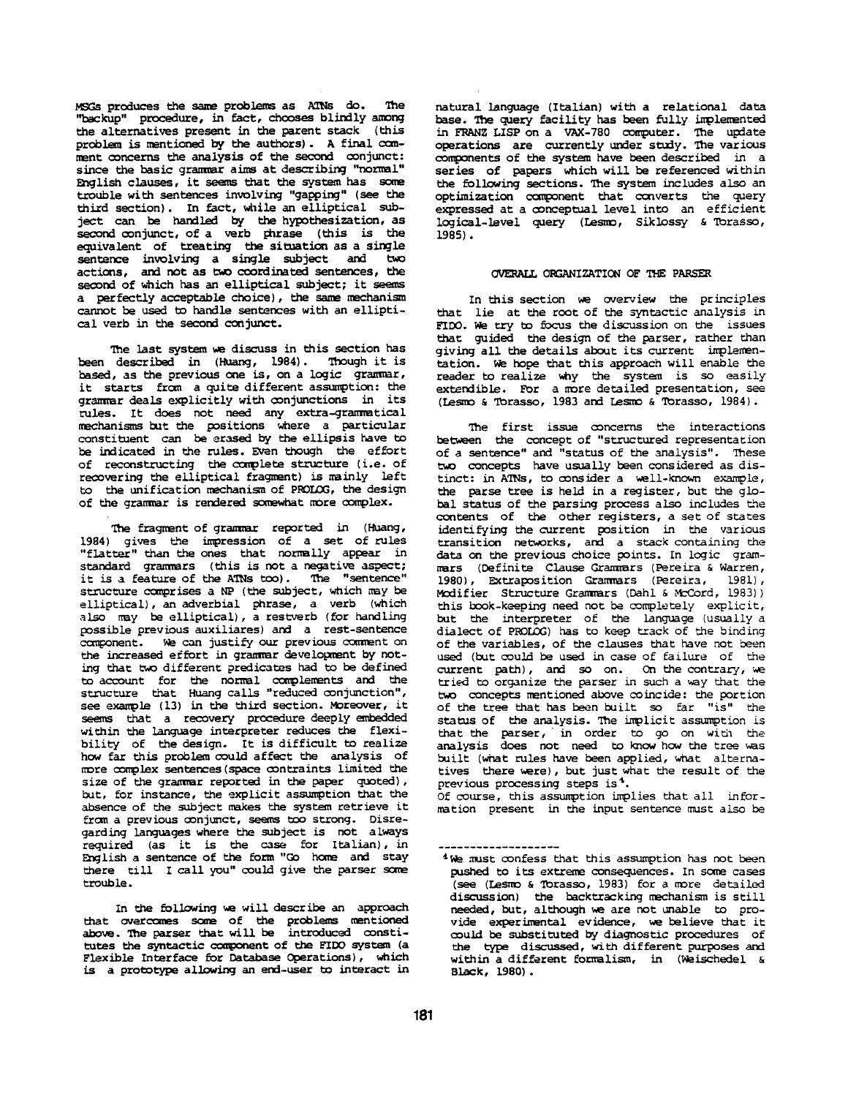MSGs produces the same problems as ATNs do. The "backup" procedure, in fact, chooses blindly among the alternatives present in the parent stack (this problem is mentioned by the authors). A final ccmment concerns the analysis of the second conjunct: since the basic grammar aims at describing "normal" English clauses, it seems that the system has some trouble with sentences involving "gapping" (see the third section). In fact, while an elliptical subject can be handled by the hypothesizetion, as second conjunct, of a verb phrase (this is the equivalent of treating the situation as a single sentence involving a single subject and two actions, and not as two coordinated sentences, the second of which has an elliptical subject; it seems a perfectly acceptable choice), the same mechanism cannot be used to handle sentences with an elliptical verb in the second conjunct.

The last system we discuss in this section has been described in (Huang, 1984). ThOugh it is based, as the previous one is, on a logic grammar, it starts from a quite different assumption: the grammar deals explicitly with conjunctions in its rules. It does not need any extra-gramnatical mechanisms hut the positions where a particular constituent can be erased by the ellipsis have to be indicated in the rules. Even though the effort of reconstructing the complete structure (i.e. of recovering the elliptical fragment) is mainly left to the unification mechanism of PROLOG, the design of the grammar is rendered somewhat more complex.

The fragment of grammar reported in (Huang, 1984) gives the impression of a set of rules "flatter" than the ones that normally appear in standard grammars (this is not a negative aspect; it is a feature of the ATNs too). The "sentence" structure comprises a NP (the subject, which may be elliptical), an adverbial phrase, a verb (which also may be elliptical), a restverb (for handling possible previous auxiliares) and a rest-sentence component. We can justify our previous comment on the increased effort in grammar development by noting that two different predicates had to be defined to account for the normal complements and the structure that Huang calls "reduced conjunction", see example (13) in the third section. Moreover, it seems that a recovery procedure deeply embedded within the language interpreter reduces the flexibility of the design. It is difficult to realize how far this problem could affect the analysis of more complex sentences (space contraints limited the size of the grammar reported in the paper quoted), but, for instance, the explicit assumption that the absence of the subject makes the system retrieve it from a previous conjumct, seems too strong. Disregarding languages where the subject is not always required (as it is the case for Italian), in English a sentence of the form "Go home and stay there till I call you" could give the parser some trouble.

In the following we will describe an approach that overcomes some of the problems mentioned above. The parser that will be introduced constitutes the syntactic component of the FIDO system (a Flexible Interface for Database Operations), which is a prototype allowing an end-user to interact in

natural language (Italian) with a relational data base. The query facility has been fully implemented in E~ANZ LISP on a VAX-780 computer. The update operations are currently under study. Tne various components of the system have been described in a series of papers which will be referenced within the following sections. The system includes also an optimization component that converts the query expressed at a conceptual level into an efficient logical-level query (Lesmo, Siklossy & Torasso, 1985).

# ORGANIZATION OF THE PARSER

In this section we overview the principles that lie at the root of the syntactic analysis in FIDO. We try to focus the discussion on the issues that guided the design of the parser, rather than giving all the details about its current implementation. We hope that this approach will enable the reader to realize why the system is so easily extendible. For a more detailed presentation, see (Lesmo & Torasso, 1983 and Lesmo & Torasso, 1984).

The first issue concerns the interactions between the concept of "structured representation of a sentence" and "status of the analysis". These two concepts have usually been considered as distinct: in ATNs, to consider a well-known example, the parse tree is held in a register, but the global status of the parsing process also includes the contents of the other registers, a set of states identifying the current position in the various transition networks, and a stack containing the data on the previous choice points. In logic grammars (Definite Clause Granmars (Pereira & Warren, 1980), Extraposition Grammars (Pereira, 1981), Modifier Structure Grammars (Dahl & McCord, 1983)) this book-keeping need not be completely explicit, but the interpreter of the language (usually a dialect of PROLOG) has to keep track of the binding of the variables, of the clauses that have not been used (but could be used in case of failure of the  $current$  path), and so on. On the contrary, we tried to organize the parser in such a way that the two concepts mentioned above coincide: the portion of the tree that has been built so far "is" the status of the analysis. The implicit assumption is that the parser, in order to go on with the analysis does not need to know how the tree was built (what rules have been applied, what alternatives there were), but just what the result of the previous processing steps is 4.

Of course, this assumption implies that all information present in the input sentence must also be

<sup>&</sup>lt;sup>4</sup> We must confess that this assumption has not been pushed to its extreme consequences. In some cases (see (Lesmo & Torasso, 1983) for a more detailed discussion) the backtracking mechanism is still needed, but, although we are not unable to provide experimental evidence, we believe that it could be substituted by diagnostic procedures of the type discussed, with different purposes and within a different formalism, in (Weischedel & Black, 1980).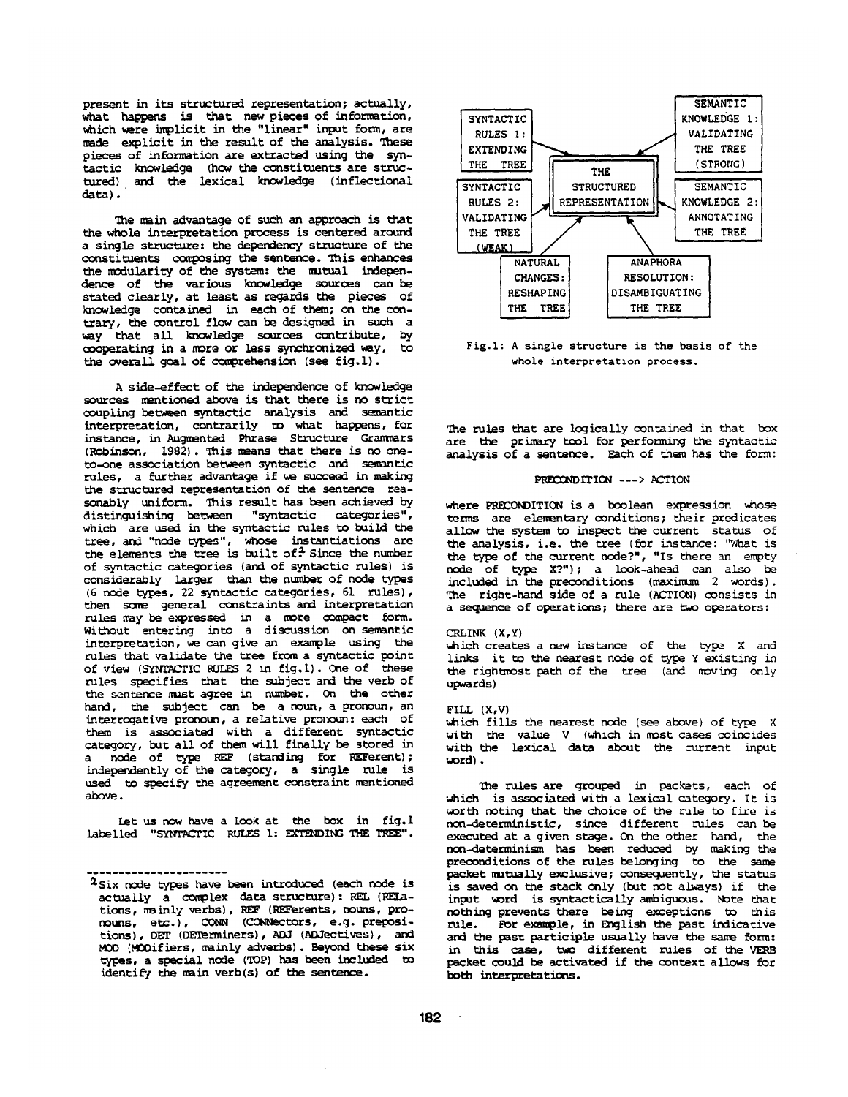present in its structured representation; actually, what happens is that new pieces of information, which were implicit in the "linear" input form, are made explicit in the result of the analysis. These pieces of information are extracted using the syntactic knowledge (how the constituents are structured) and the lexical knowledge (inflectional data).

The main advantage of such an approach is that the whole interpretation process is centered around a single structure: the dependency structure of the constituents composing the sentence. This enhances the modularity of the system: the mutual independence of the various knowledge sources can be stated clearly, at least as regards the pieces of knowledge contained in each of them; on the contrary, the control flow can be designed in such a way that all knowledge sources contribute, by cooperating in a more or less synchronized way, to the overall goal of comprehension (see fig.l).

A side-effect of the independence of knowledge sources mentioned above is that there is no strict coupling between syntactic analysis and semantic interpretation, contrarily to what happens, for instance, in Augmented Phrase Structure Grammars  $(Robinson, 1982)$ . This means that there is no oneto-one association between syntactic and semantic rules, a further advantage if we succeed in making the structured representation of the sentence reasonably uniform. This result has been achieved by<br>distinguishing between "syntactic categories", distinguishing between which are used in the syntactic rules to build the tree, and "node types", whose instantiations are the elements the tree is built of.  $2$  Since the number of syntactic categories (and of syntactic rules) is considerably larger than the number of node types (6 node types, 22 syntactic categories, 61 rules), then some general constraints and interpretation tales may be expressed in a more compact form. WiL-hout entering into a discussion on semantic interpretation, we can give an example using the rules that validate the tree from a syntactic point of view (SYNTACTIC RULES 2 in fig.l). One of these rules specifies that the subject and the verb of the sentence must agree in number. On the other hand, the subject can be a noun, a pronoun, an  $interrogative pronoun, a relative pronoun: each of$ them is associated with a different syntactic category, but all of them will finally be stored in a node of type REF (standing for REFerent) ; independently of the category, a single rule is used to specify the agreement constraint mentioned above.

let us now have a look at the box in fig.l labelled "SYNTACTIC RULES 1: EXTENDING THE TREE".

. . . . . . . . . . . . . . . . . . . .



Fig.1: A single structure is the basis of the whole *interpretation* process.

The rules that are logically contained in that box are the primary tool for performing the syntactic analysis of a sentence. Each of them has the form:

## PRECONDITION ---> ACTION

where PRECONDITION is a boolean expression whose terms are elementary conditions; their predicates allow the system to inspect the current status of the analysis, i.e. the tree (for instance: "What is the type of the current node?", "Is there an empty node of type X?") ; a look-ahead can also be included in the preconditions (maximum 2 words). The right-hand side of a rule (ACTION) consists in a sequence of operations; there are two operators:

## CRLINK (X,Y)

which creates a new instance of the type X and links it to the nearest node of type Y existing in the rightmost path of the tree (and moving only upwards)

### FILL (X,V)

which fills the nearest node (see above) of type X with the value V (which in most cases coincides with the lexical data about the current input word).

The rules are grouped in packets, each of which is associated with a lexical category. It is worth noting that the choice of the rule to fire is *non-deterministic,* since different rules can be executed at a given stage. On the other hand, the non-determinism has been reduced by making the preconditions of the rules belonging to the same packet mutually exclusive; consequently, the status is saved on the stack only (but not always) if the input word is syntactically ambiguous. Note that nothing prevents there being exceptions to this rule. For example, in English the past indicative and the past participle usually have the same form: in this case, two different rules of the VERB packet could be activated if the context allows for both interpretations.

<sup>&</sup>lt;sup>2</sup>Six node types have been introduced (each node is actually a complex data structure): REL (RELations, mainly verbs), REF (REFerents, nouns, pronouns, etc. ), CO~ (CONNectors, e.g. prepositions), OET (DETerminers), ADJ (ADJectives), and MOD (MODifiers, wainly adverbs). Beyond these six types, a special node (TOP) has been included to identify the main verb(s) of the sentence.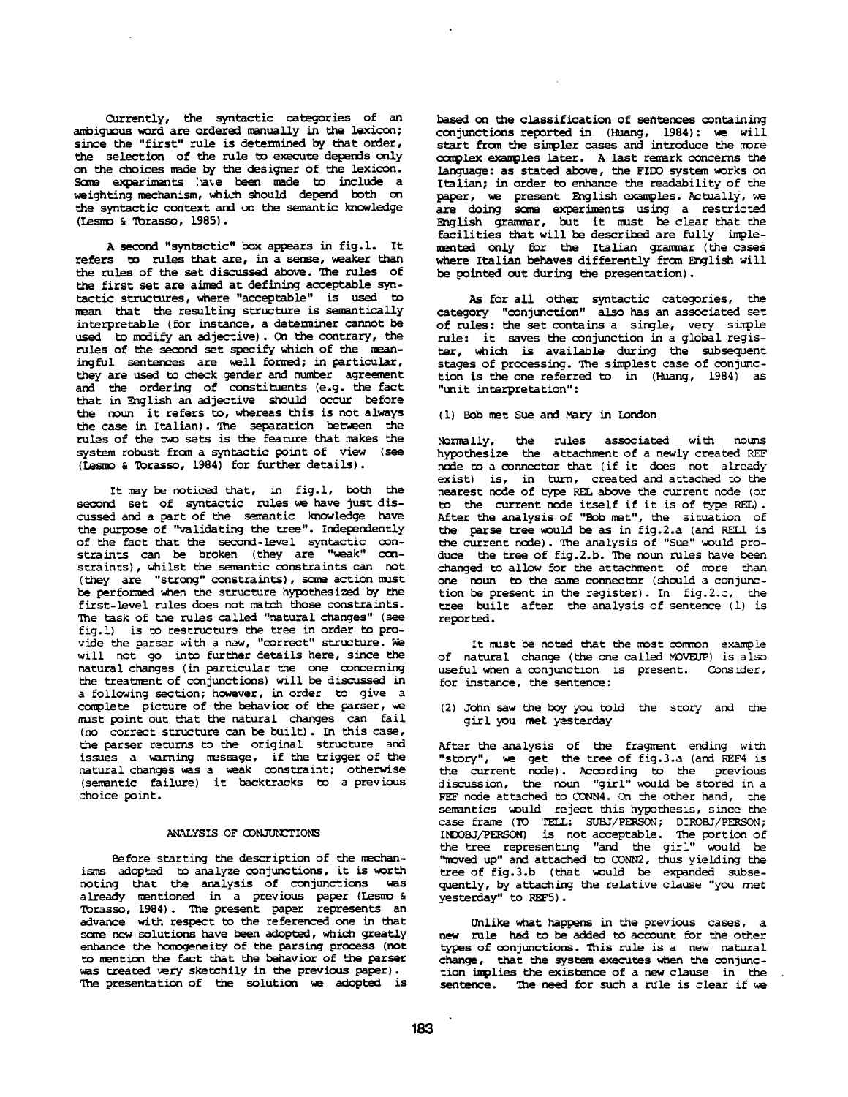Currently, the syntactic categories of an ambiguous word are ordered manually in the lexicon; since the "first" rule is determined by that order, the selection of the rule to execute depends only on the choices made by the designer of the lexicon. Some experiments : ave been made to include a weighting mechanism, which should depend both on the syntactic context and on the semantic knowledge (Lesmo & Torasso, 1985).

A second "syntactic" box appears in fig.l. It refers to rules that are, in a sense, weaker than the rules of the set discussed above. The rules of the first set are aimed at defining acceptable syntactic structures, where "acceptable" is used to maan that the resulting structure is semantically interpretable (for instance, a determiner cannot be used to modify an adjective). On the contrary, the rules of the second set specify which of the meaningful sentences are well formed; in particular, they are used to check gender and number agreement and the ordering of constituents (e.g. the fact that in English an adjective should occur before the noun it refers to, whereas this is not always the case in Italian). The separation between the rules of the two sets is the feature that makes the system robust from a syntactic point of view (see (Lesmo & Torasso, 1984) for further details).

It may be noticed that, in fig. 1, both the second set of syntactic rules we have just discussed and a part of the semantic knowledge have the purpose of "validating the tree". Independently of the fact that the second-level syntactic constraints can be broken (they are "weak" constraints), whilst the semantic constraints can not (they are "strong" constraints), sane action must be performed when the structure hypothesized by the first-level rules does not match those constraints. The task of the rules called "natural changes" (see fig.l) is to restructure the tree in order to provide the parser with a new, "correct" structure. We will not go into further details here, since the natural changes (in particular the one concerning the treatment of conjunctions) will be discussed in a following section; however, in order to give a complete picture of the behavior of the parser, we must point out that the natural changes can fail (no correct structure can be built) . In this case, the parser returns to the original structure and issues a warning message, if the trigger of the natural changes was a weak constraint; otherwise (semantic failure) it backtracks to a previous choice point.

#### ANALYSIS OF CONJUNCTIONS

Before starting the description of the mechanisms adopted to analyze conjunctions, it is worth noting that the analysis of conjunctions was already mentioned in a previous paper (Lesmo & Torasso, 1984). The present paper represents an advance with respect to the referenced one in that some new solutions have been adopted, which greatly enhance the homogeneity of the parsing process (not to mention the fact that the behavior of the parser was treated very sketchily in the previous paper). The presentation of the solution we adopted is

based on the classification of sentences containing conjunctions reported in (Huang, 1984) : we will start from the simpler cases and introduce the more ccmplex examples later. A last remark concerns the language: as stated above, the FIDO system works on Italian; in order to enhance the readability of the paper, we present English examples. Actually, we are doing some experiments using a restricted English grammar, but it must be clear that the  $facilities that will be described are fully imple$ mented only for the Italian grammar (the cases where Italian behaves differently from English will be pointed out during the presentation).

As for all other syntactic categories, the category "conjunction" also has an associated set of rules: the set contains a single, very simple rule: it saves the conjunction in a global register, which is available during the subsequent stages of processing. The simplest case of conjunction is the one referred to in  $(Huang, 1984)$  as "unit interpretation" :

## (i) Bob met Sue and Mary in London

Normally, the rules associated with hOLmS hypothesize the attachment of a newly created REF node to a connector that (if it does not already exist) is, in turn, created and attached to the nearest node of type REL above the current node (or to the current node itself if it is of type REL). After the analysis of "Bob mat", the situation of the parse tree would be as in fig.2.a (and RELL is the current node). Tne analysis of "Sue" would produce the tree of fig.2.b. The noun rules have been changed to allow for the attachment of more than one noun to the same connector (should a conjunction be present in the register). In fig.2.c, the tree built after the analysis of sentence (1) is reported.

It must be noted that the most common example of natural change (the one called MOVEUP) is also useful when a conjunction is present. Cons ider, for instance, the sentence :

(2) John saw the boy you told the story and the girl you met yesterday

After the analysis of the fragment ending with "story", we get the tree of fig.3.a (and REF4 is the current node). According to the previous disc-assion, the noun "girl" would be stored in a ~EF node attached to CONN4. On the other hand, the semantics would reject this hypothesis, since the case frame (TO 'TELL: SUBJ/PERSON; DIROBJ/PERSON; INDOBJ~) is not acceptable. The portion of the tree representing "and the girl" would be "moved up" and attached to CONN2, thus yielding the tree of fig.3.b (that would be expanded subsequently, by attaching the relative clause "you nnet yesterday" to REF5).

Unlike what happens in the previous cases, a new rule had to be added to account for the other types of conjunctions. This rule is a new natural change, that the system executes when the conjunction implies the existence of a new clause in the sentence. The need for such a rule is clear if we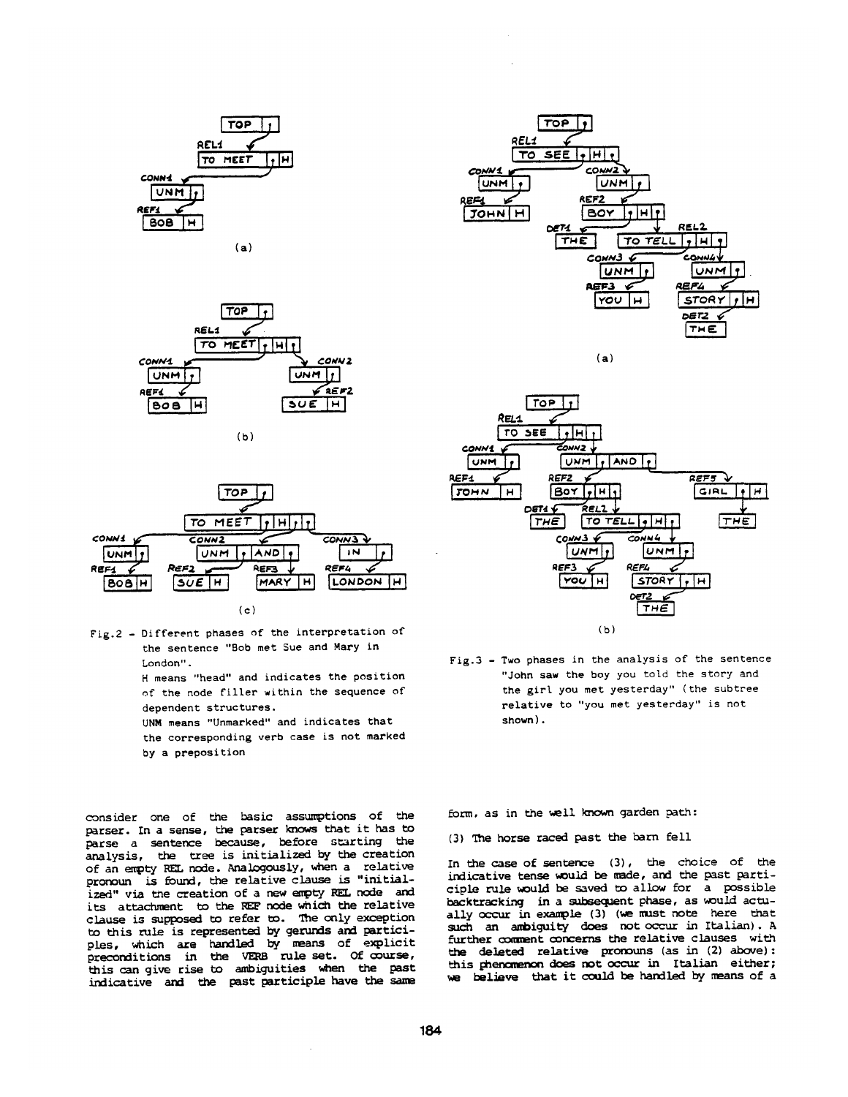

**(a)** 









H means "head" and indicates the position of the node filler within the sequence of dependent structures.

UNM means "Unmarked" and indicates *that*  the corresponding verb case is not marked by a preposition

consider one of the basic assumptions of the parser. In a sense, the parser knows that it has to parse a sentence because, before starting the analysis, the tree is initialized by the creation of an empty REL node. Analogously, when a relative pronoun is found, the relative clause is "initialized" via the creation of a new empty REL node and its attachment to the REF node which the relative clause is supposed to refer to. The only exception to this rule is represented by gerunds and participles, which are handled by means of explicit preconditions in the VERB rule set. Of course, this can give rise to ambiguities when the past indicative and the past participle have the same



**(a)** 



Fig.3 - Two phases in the analysis of *the* sentence "John saw the boy you told the story and the girl you met yesterday" (the subtree relative to "you met yesterday" is not shown).

form, as in the well known garden path:

(3) The horse raced past the barn fell

In the case of sentence (3), the choice of the indicative tense would be made, and the past participle rule would be saved to allow for a possible backtracking in a subsequent phase, as would actually occur in example (3) (we must note here that such an ambiguity does not occur in Italian). A further comment concerns the relative clauses with the deleted relative pronouns (as in (2) above): this ghenomenon does not occur in Italian either; we believe that it could be handled by means of a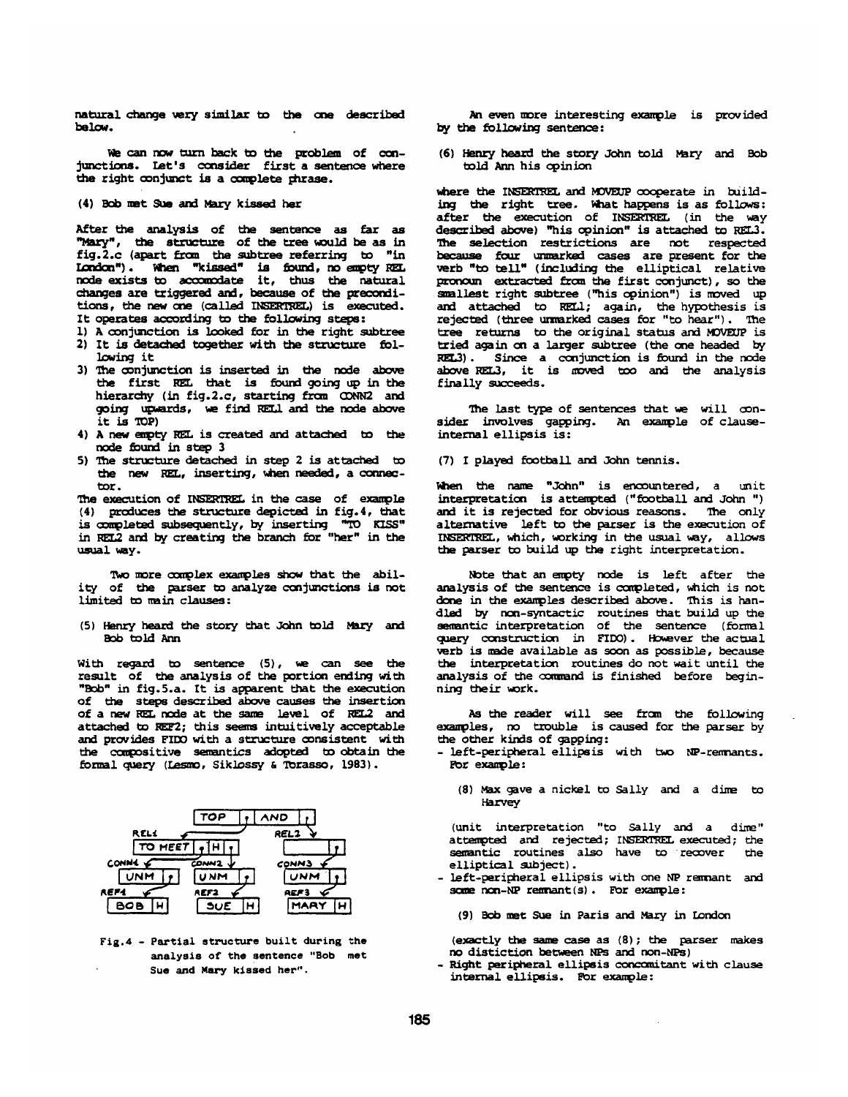natural change very similar to the one described below.

We can now turn back to the problem of conjunctions. Let's consider first a sentence where the right conjunct is a complete chrase.

(4) Bob met Sue and Mary kissed her

After the analysis of the sentence as far as "Mary", the structure of the tree would be as in fig.2.c (apart from the subtree referring to "in-London"). When "kissed" is found, no empty REL. node exists to accomodate it, thus the natural changes are triggered and, because of the preconditions, the new one (called INSERTREL) is executed. It operates according to the following steps:

- 
- 1) A conjunction is looked for in the right subtree 2) It is detached together with the structure following it
- 3) The conjunction is inserted in the node above the first REL that is found going up in the hierarchy (in fig.2.c, starting from CONN2 and going upwards, we find REL1 and the node above it is TOP)
- 4) A new empty REL is created and attached to the node found in step 3
- 5) The structure deteched in step 2 is attached to the new REL, inserting, when needed, a connectot.

The execution of INSERTREL in the case of example  $(4)$  produces the structure depicted in fig.4, that is completed subsequently, by inserting "TO KISS" in REL2 and by creating the branch for "her" in the ususl way.

Two more complex examples show that the ability of the parser to analyze conjunctions is not limited to main clauses:

(5) Henry heard the story that John told Mary and BOb told Ann

With regard to sentence (5), wa can see the result of the analysis of the portion ending with "Bob" in fig.5.a. It is apparent that the execution of the steps described above causes the insertion of a new REL node at the same level of REL2 and attached to REF2; this seems intuitively acceptable and provides FIDO with a structure consistent with the compositive semantics adopted to obtain the formal query (Lesmo, Siklossy & Torasso, 1983).



Fig.  $4$  - Partial structure built during the analysis of the sentence "Bob met Sue and Mary kissed her".

An even more interesting example is provided by the following sentence:

(6) Henry heard the story John told Mary and Bob tola Ann his opinion

where the INSERTREL and MOVEUP cooperate in building the right tree. What happens is as follows: after the execution of INSERTREL (in the way described above) "his opinion" is attached to REL3. The selection restrictions are not respected because four unmarked cases are present for the verb "to tell" (including the elliptical relative pronoun extracted from the first conjunct), so the smallest right subtree ("his opinion") is moved up and attached to RELI; again, the hypothesis is rejected (three unmarked cases for "to hear"). The tree returns to the original status and MOVEUP is tried again on a larger subtree (the one headed by REL3). Since a conjunction is found in the node above REL3, it is moved too and the analysis finally succeeds.

The last type of sentences that we will consider involves gapping. An example of clauseinternal ellipsis is:

(7) I played football and John tennis.

When the name "John" is encountered, a unit interpretation is attempted ("football and John ") and it is rejected for obvious reasons. The only alternative left to the parser is the execution of INSERTREL, which, working in the usual way, allows the parser to build up the right interpretation.

Note that an empty node is left after the analysis of the sentence is completed, which is not done in the examples described above. This is handled by non-syntactic routines that build up the semantic interpretation of the sentence (formal query construction in FIDO). However the actual ~rb is made available as soon as possible, because the interpretation routines do not wait until the analysis of the command is finished before beginning their work.

As the reader will see from the following examples, no trouble is caused for the parser by the other kinds of gapping:

- left-peripheral ellipsis with two NP-remnants. For example:
	- **(8)** Max gave a nickel to Sally and a dime to Harvey

(unit interpretation "to Sally and a dime" attempted and rejected; INSERTREL executed; the<br>semantic routines also have to recover the semantic routines also have to recover elliptical subject).

- left-peripheral ellipsis with one NP remnant and some  $non-NP$  remnant(s). For example:

(9) Bob met Sue in Paris and Mary in London

(exactly the same case as  $(8)$ ; the parser makes no distiction between NPs and non-NPs)

- Right peripheral ellipsis concomitant with clause internal ellipsis. For example: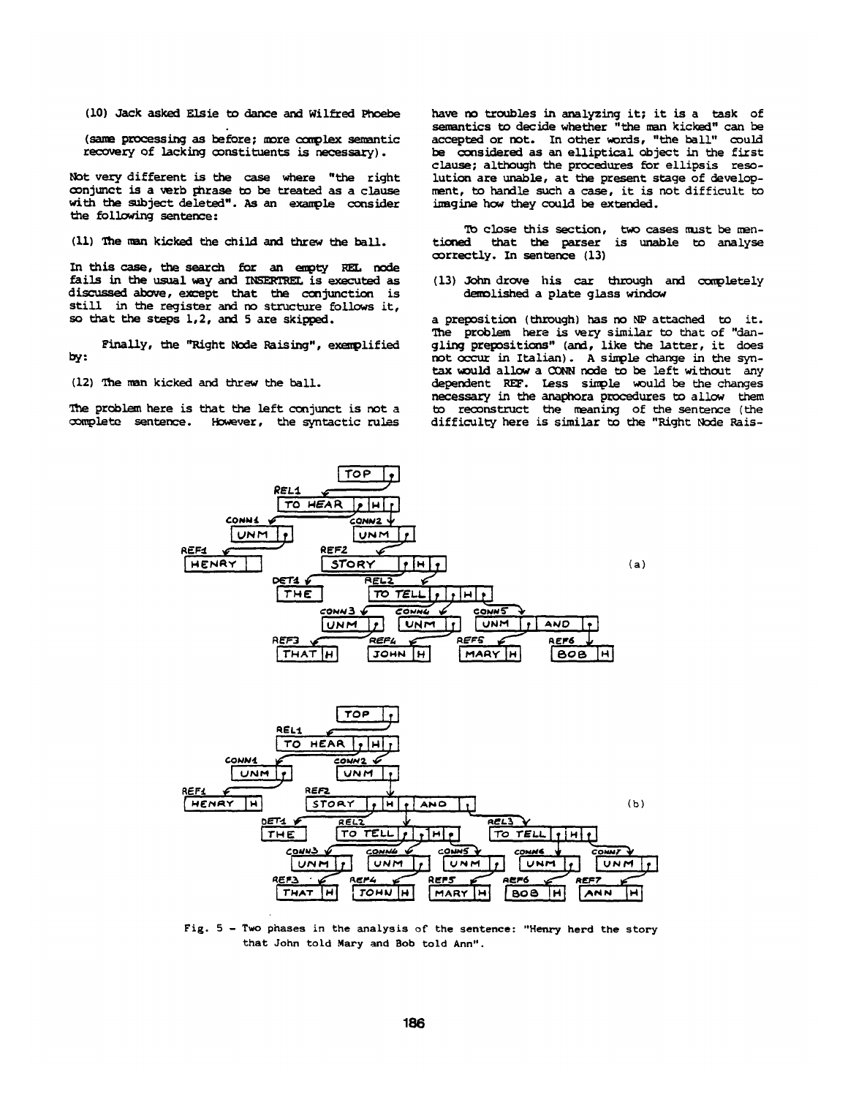(I0) Jack asked Elsie to dance and Wilfred Phoebe

(same processing as before; more complex semantic recovery of lacking constituents is necessary).

Not very different is the case where "the right conjunct is a verb phrase to be treated as a clause with the subject deleted". As an example consider the following sentence:

(11) The man kicked the child and threw the ball.

In this case, the search for an empty REL node fails in the usual way and INSERTREL is executed as discussed above, except that the conjunction is still in the register and no structure follows it, so that the steps 1,2, and 5 are skipped.

Finally, the "Right Node Raising", exemplified by:

(12) The man kicked and threw the ball.

The problem here is that the left conjunct is not a complete sentence. However, the syntactic rules have no troubles in analyzing it; it is a task of semantics to decide whether "the man kicked" can he accepted or not. In other words, "the ball" could he considered as an elliptical object in the first clause; although the procedures for ellipsis resolution are unable, at the present stage of development, to handle such a case, it is not difficult to imagine how they could be extended.

To close this section, two cases must be men-<br>tioned that the parser is unable to analyse that the parser is unable to analyse correctly. In sentence (13)

(13) John drove his car through and completely demolished a plate glass window

a preposition (through) has no NP attached to it. The problem here is very similar to that of "dangling prepositions" (and, like the latter, it does not occur in Italian). A simple change in the syntax would allow a CONN node to be left without any dependent REF. Less simple would be the changes necessary in the anaphora procedures to allow them to reconstruct the meaning of the sentence (the difficulty here is similar to the "Right Node Rais-



Fig. 5 - Two phases in the analysis of the sentence: "Henry herd the story that John told Mary and Bob told Ann".